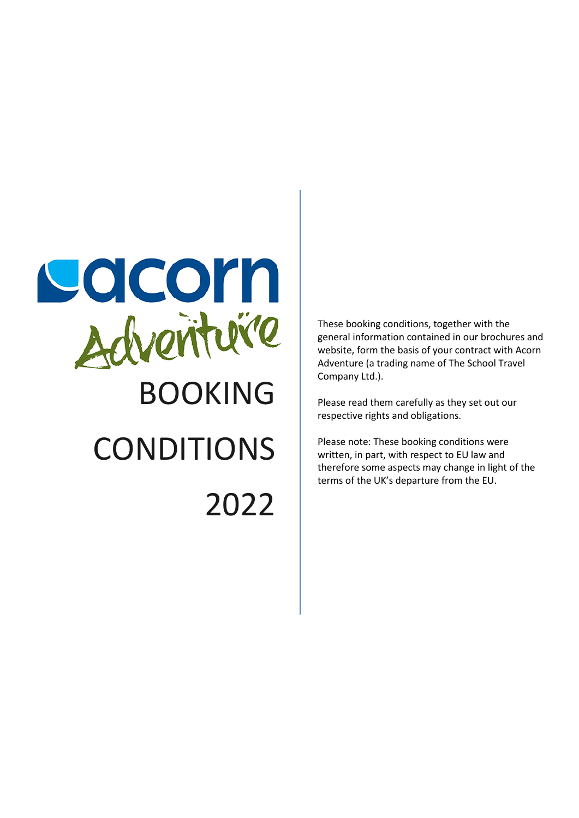

These booking conditions, together with the general information contained in our brochures and website, form the basis of your contract with Acorn Adventure (a trading name of The School Travel Company Ltd.).

Please read them carefully as they set out our respective rights and obligations.

Please note: These booking conditions were written, in part, with respect to EU law and therefore some aspects may change in light of the terms of the UK's departure from the EU.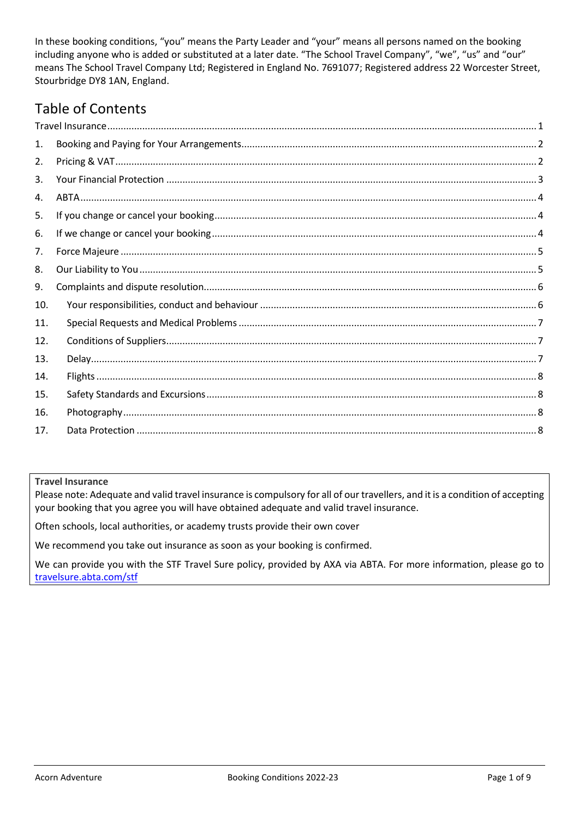In these booking conditions, "you" means the Party Leader and "your" means all persons named on the booking including anyone who is added or substituted at a later date. "The School Travel Company", "we", "us" and "our" means The School Travel Company Ltd; Registered in England No. 7691077; Registered address 22 Worcester Street, Stourbridge DY8 1AN, England.

# Table of Contents

### <span id="page-1-0"></span>**Travel Insurance**

Please note: Adequate and valid travel insurance is compulsory for all of our travellers, and it is a condition of accepting your booking that you agree you will have obtained adequate and valid travel insurance.

Often schools, local authorities, or academy trusts provide their own cover

We recommend you take out insurance as soon as your booking is confirmed.

We can provide you with the STF Travel Sure policy, provided by AXA via ABTA. For more information, please go to [travelsure.abta.com/stf](https://travelsure.abta.com/stf/)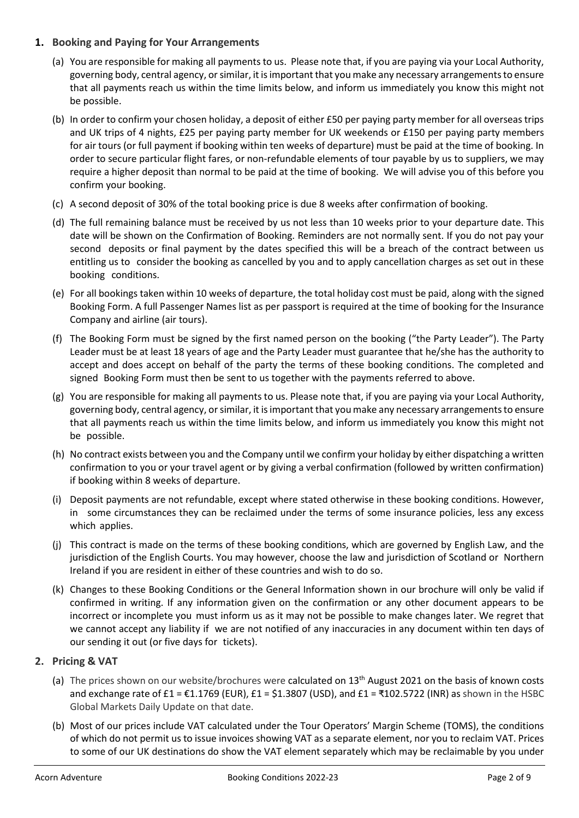# <span id="page-2-0"></span>**1. Booking and Paying for Your Arrangements**

- (a) You are responsible for making all payments to us. Please note that, if you are paying via your Local Authority, governing body, central agency, or similar, it is important that you make any necessary arrangements to ensure that all payments reach us within the time limits below, and inform us immediately you know this might not be possible.
- (b) In order to confirm your chosen holiday, a deposit of either £50 per paying party member for all overseas trips and UK trips of 4 nights, £25 per paying party member for UK weekends or £150 per paying party members for air tours (or full payment if booking within ten weeks of departure) must be paid at the time of booking. In order to secure particular flight fares, or non-refundable elements of tour payable by us to suppliers, we may require a higher deposit than normal to be paid at the time of booking. We will advise you of this before you confirm your booking.
- (c) A second deposit of 30% of the total booking price is due 8 weeks after confirmation of booking.
- (d) The full remaining balance must be received by us not less than 10 weeks prior to your departure date. This date will be shown on the Confirmation of Booking. Reminders are not normally sent. If you do not pay your second deposits or final payment by the dates specified this will be a breach of the contract between us entitling us to consider the booking as cancelled by you and to apply cancellation charges as set out in these booking conditions.
- (e) For all bookings taken within 10 weeks of departure, the total holiday cost must be paid, along with the signed Booking Form. A full Passenger Names list as per passport is required at the time of booking for the Insurance Company and airline (air tours).
- (f) The Booking Form must be signed by the first named person on the booking ("the Party Leader"). The Party Leader must be at least 18 years of age and the Party Leader must guarantee that he/she has the authority to accept and does accept on behalf of the party the terms of these booking conditions. The completed and signed Booking Form must then be sent to us together with the payments referred to above.
- (g) You are responsible for making all payments to us. Please note that, if you are paying via your Local Authority, governing body, central agency, or similar, it is important that youmake any necessary arrangements to ensure that all payments reach us within the time limits below, and inform us immediately you know this might not be possible.
- (h) No contract exists between you and the Company until we confirm your holiday by either dispatching a written confirmation to you or your travel agent or by giving a verbal confirmation (followed by written confirmation) if booking within 8 weeks of departure.
- (i) Deposit payments are not refundable, except where stated otherwise in these booking conditions. However, in some circumstances they can be reclaimed under the terms of some insurance policies, less any excess which applies.
- (j) This contract is made on the terms of these booking conditions, which are governed by English Law, and the jurisdiction of the English Courts. You may however, choose the law and jurisdiction of Scotland or Northern Ireland if you are resident in either of these countries and wish to do so.
- (k) Changes to these Booking Conditions or the General Information shown in our brochure will only be valid if confirmed in writing. If any information given on the confirmation or any other document appears to be incorrect or incomplete you must inform us as it may not be possible to make changes later. We regret that we cannot accept any liability if we are not notified of any inaccuracies in any document within ten days of our sending it out (or five days for tickets).

# <span id="page-2-1"></span>**2. Pricing & VAT**

- (a) The prices shown on our website/brochures were calculated on 13<sup>th</sup> August 2021 on the basis of known costs and exchange rate of £1 = €1.1769 (EUR), £1 = \$1.3807 (USD), and £1 = ₹102.5722 (INR) as shown in the HSBC Global Markets Daily Update on that date.
- (b) Most of our prices include VAT calculated under the Tour Operators' Margin Scheme (TOMS), the conditions of which do not permit us to issue invoices showing VAT as a separate element, nor you to reclaim VAT. Prices to some of our UK destinations do show the VAT element separately which may be reclaimable by you under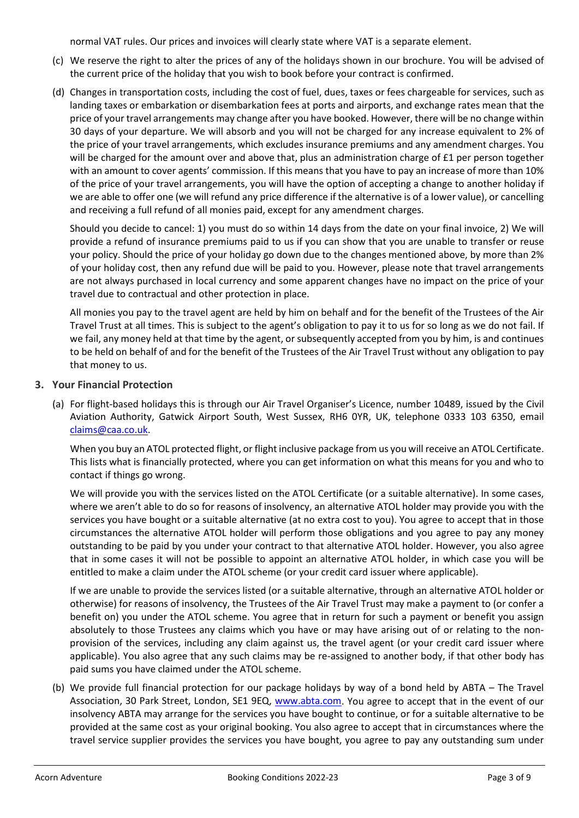normal VAT rules. Our prices and invoices will clearly state where VAT is a separate element.

- (c) We reserve the right to alter the prices of any of the holidays shown in our brochure. You will be advised of the current price of the holiday that you wish to book before your contract is confirmed.
- (d) Changes in transportation costs, including the cost of fuel, dues, taxes or fees chargeable for services, such as landing taxes or embarkation or disembarkation fees at ports and airports, and exchange rates mean that the price of your travel arrangements may change after you have booked. However, there will be no change within 30 days of your departure. We will absorb and you will not be charged for any increase equivalent to 2% of the price of your travel arrangements, which excludes insurance premiums and any amendment charges. You will be charged for the amount over and above that, plus an administration charge of £1 per person together with an amount to cover agents' commission. If this means that you have to pay an increase of more than 10% of the price of your travel arrangements, you will have the option of accepting a change to another holiday if we are able to offer one (we will refund any price difference if the alternative is of a lower value), or cancelling and receiving a full refund of all monies paid, except for any amendment charges.

Should you decide to cancel: 1) you must do so within 14 days from the date on your final invoice, 2) We will provide a refund of insurance premiums paid to us if you can show that you are unable to transfer or reuse your policy. Should the price of your holiday go down due to the changes mentioned above, by more than 2% of your holiday cost, then any refund due will be paid to you. However, please note that travel arrangements are not always purchased in local currency and some apparent changes have no impact on the price of your travel due to contractual and other protection in place.

All monies you pay to the travel agent are held by him on behalf and for the benefit of the Trustees of the Air Travel Trust at all times. This is subject to the agent's obligation to pay it to us for so long as we do not fail. If we fail, any money held at that time by the agent, or subsequently accepted from you by him, is and continues to be held on behalf of and for the benefit of the Trustees of the Air Travel Trust without any obligation to pay that money to us.

### <span id="page-3-0"></span>**3. Your Financial Protection**

(a) For flight-based holidays this is through our Air Travel Organiser's Licence, number 10489, issued by the Civil Aviation Authority, Gatwick Airport South, West Sussex, RH6 0YR, UK, telephone 0333 103 6350, email [claims@caa.co.uk.](mailto:claims@caa.co.uk)

When you buy an ATOL protected flight, or flight inclusive package from us you will receive an ATOL Certificate. This lists what is financially protected, where you can get information on what this means for you and who to contact if things go wrong.

We will provide you with the services listed on the ATOL Certificate (or a suitable alternative). In some cases, where we aren't able to do so for reasons of insolvency, an alternative ATOL holder may provide you with the services you have bought or a suitable alternative (at no extra cost to you). You agree to accept that in those circumstances the alternative ATOL holder will perform those obligations and you agree to pay any money outstanding to be paid by you under your contract to that alternative ATOL holder. However, you also agree that in some cases it will not be possible to appoint an alternative ATOL holder, in which case you will be entitled to make a claim under the ATOL scheme (or your credit card issuer where applicable).

If we are unable to provide the services listed (or a suitable alternative, through an alternative ATOL holder or otherwise) for reasons of insolvency, the Trustees of the Air Travel Trust may make a payment to (or confer a benefit on) you under the ATOL scheme. You agree that in return for such a payment or benefit you assign absolutely to those Trustees any claims which you have or may have arising out of or relating to the nonprovision of the services, including any claim against us, the travel agent (or your credit card issuer where applicable). You also agree that any such claims may be re-assigned to another body, if that other body has paid sums you have claimed under the ATOL scheme.

(b) We provide full financial protection for our package holidays by way of a bond held by ABTA – The Travel Association, 30 Park Street, London, SE1 9EQ, [www.abta.com.](http://www.abta.com/) You agree to accept that in the event of our insolvency ABTA may arrange for the services you have bought to continue, or for a suitable alternative to be provided at the same cost as your original booking. You also agree to accept that in circumstances where the travel service supplier provides the services you have bought, you agree to pay any outstanding sum under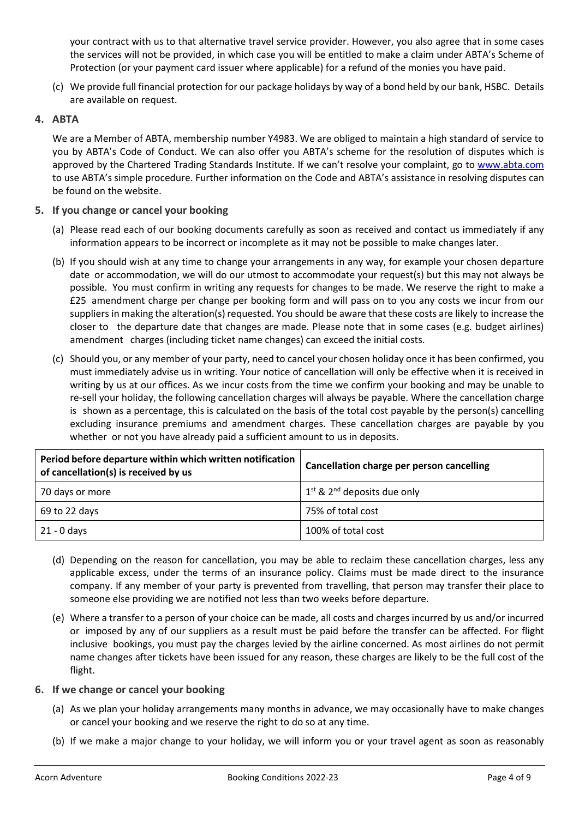your contract with us to that alternative travel service provider. However, you also agree that in some cases the services will not be provided, in which case you will be entitled to make a claim under ABTA's Scheme of Protection (or your payment card issuer where applicable) for a refund of the monies you have paid.

(c) We provide full financial protection for our package holidays by way of a bond held by our bank, HSBC. Details are available on request.

# <span id="page-4-0"></span>**4. ABTA**

We are a Member of ABTA, membership number Y4983. We are obliged to maintain a high standard of service to you by ABTA's Code of Conduct. We can also offer you ABTA's scheme for the resolution of disputes which is approved by the Chartered Trading Standards Institute. If we can't resolve your complaint, go to [www.abta.com](http://www.abta.com/) to use ABTA's simple procedure. Further information on the Code and ABTA's assistance in resolving disputes can be found on the website.

- <span id="page-4-1"></span>**5. If you change or cancel your booking**
	- (a) Please read each of our booking documents carefully as soon as received and contact us immediately if any information appears to be incorrect or incomplete as it may not be possible to make changes later.
	- (b) If you should wish at any time to change your arrangements in any way, for example your chosen departure date or accommodation, we will do our utmost to accommodate your request(s) but this may not always be possible. You must confirm in writing any requests for changes to be made. We reserve the right to make a £25 amendment charge per change per booking form and will pass on to you any costs we incur from our suppliers in making the alteration(s) requested. You should be aware that these costs are likely to increase the closer to the departure date that changes are made. Please note that in some cases (e.g. budget airlines) amendment charges (including ticket name changes) can exceed the initial costs.
	- (c) Should you, or any member of your party, need to cancel your chosen holiday once it has been confirmed, you must immediately advise us in writing. Your notice of cancellation will only be effective when it is received in writing by us at our offices. As we incur costs from the time we confirm your booking and may be unable to re-sell your holiday, the following cancellation charges will always be payable. Where the cancellation charge is shown as a percentage, this is calculated on the basis of the total cost payable by the person(s) cancelling excluding insurance premiums and amendment charges. These cancellation charges are payable by you whether or not you have already paid a sufficient amount to us in deposits.

| Period before departure within which written notification<br>of cancellation(s) is received by us | Cancellation charge per person cancelling |
|---------------------------------------------------------------------------------------------------|-------------------------------------------|
| 70 days or more                                                                                   | $1st$ & 2 <sup>nd</sup> deposits due only |
| $69$ to 22 days                                                                                   | 75% of total cost                         |
| 21 - 0 days                                                                                       | 100% of total cost                        |

- (d) Depending on the reason for cancellation, you may be able to reclaim these cancellation charges, less any applicable excess, under the terms of an insurance policy. Claims must be made direct to the insurance company. If any member of your party is prevented from travelling, that person may transfer their place to someone else providing we are notified not less than two weeks before departure.
- (e) Where a transfer to a person of your choice can be made, all costs and charges incurred by us and/or incurred or imposed by any of our suppliers as a result must be paid before the transfer can be affected. For flight inclusive bookings, you must pay the charges levied by the airline concerned. As most airlines do not permit name changes after tickets have been issued for any reason, these charges are likely to be the full cost of the flight.

### <span id="page-4-2"></span>**6. If we change or cancel your booking**

- (a) As we plan your holiday arrangements many months in advance, we may occasionally have to make changes or cancel your booking and we reserve the right to do so at any time.
- (b) If we make a major change to your holiday, we will inform you or your travel agent as soon as reasonably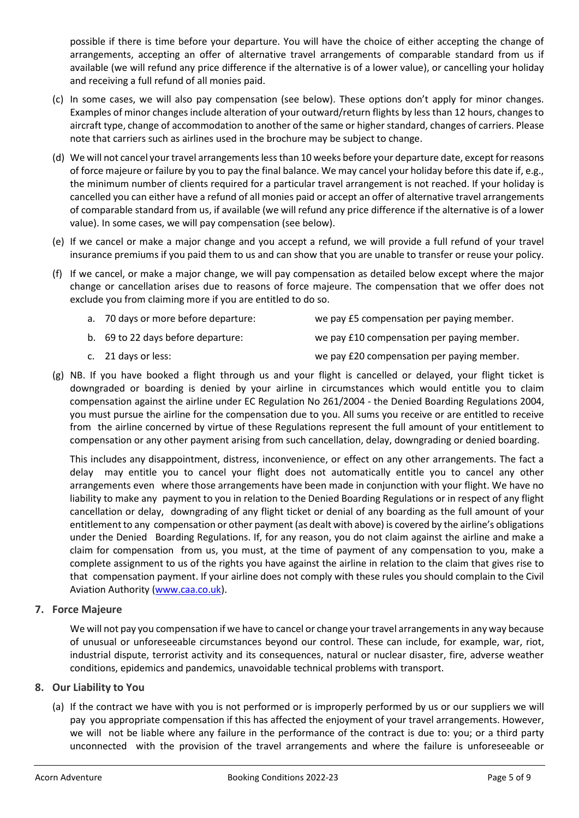possible if there is time before your departure. You will have the choice of either accepting the change of arrangements, accepting an offer of alternative travel arrangements of comparable standard from us if available (we will refund any price difference if the alternative is of a lower value), or cancelling your holiday and receiving a full refund of all monies paid.

- (c) In some cases, we will also pay compensation (see below). These options don't apply for minor changes. Examples of minor changes include alteration of your outward/return flights by less than 12 hours, changes to aircraft type, change of accommodation to another of the same or higher standard, changes of carriers. Please note that carriers such as airlines used in the brochure may be subject to change.
- (d) We will not cancel your travel arrangements less than 10 weeks before your departure date, except for reasons of force majeure or failure by you to pay the final balance. We may cancel your holiday before this date if, e.g., the minimum number of clients required for a particular travel arrangement is not reached. If your holiday is cancelled you can either have a refund of all monies paid or accept an offer of alternative travel arrangements of comparable standard from us, if available (we will refund any price difference if the alternative is of a lower value). In some cases, we will pay compensation (see below).
- (e) If we cancel or make a major change and you accept a refund, we will provide a full refund of your travel insurance premiums if you paid them to us and can show that you are unable to transfer or reuse your policy.
- (f) If we cancel, or make a major change, we will pay compensation as detailed below except where the major change or cancellation arises due to reasons of force majeure. The compensation that we offer does not exclude you from claiming more if you are entitled to do so.

| a. 70 days or more before departure: | we pay £5 compensation per paying member.  |
|--------------------------------------|--------------------------------------------|
| b. 69 to 22 days before departure:   | we pay £10 compensation per paying member. |
| c. 21 days or less:                  | we pay £20 compensation per paying member. |

(g) NB. If you have booked a flight through us and your flight is cancelled or delayed, your flight ticket is downgraded or boarding is denied by your airline in circumstances which would entitle you to claim compensation against the airline under EC Regulation No 261/2004 - the Denied Boarding Regulations 2004, you must pursue the airline for the compensation due to you. All sums you receive or are entitled to receive from the airline concerned by virtue of these Regulations represent the full amount of your entitlement to compensation or any other payment arising from such cancellation, delay, downgrading or denied boarding.

This includes any disappointment, distress, inconvenience, or effect on any other arrangements. The fact a delay may entitle you to cancel your flight does not automatically entitle you to cancel any other arrangements even where those arrangements have been made in conjunction with your flight. We have no liability to make any payment to you in relation to the Denied Boarding Regulations or in respect of any flight cancellation or delay, downgrading of any flight ticket or denial of any boarding as the full amount of your entitlement to any compensation or other payment (as dealt with above) is covered by the airline's obligations under the Denied Boarding Regulations. If, for any reason, you do not claim against the airline and make a claim for compensation from us, you must, at the time of payment of any compensation to you, make a complete assignment to us of the rights you have against the airline in relation to the claim that gives rise to that compensation payment. If your airline does not comply with these rules you should complain to the Civil Aviation Authority [\(www.caa.co.uk\)](http://www.caa.co.uk/).

# <span id="page-5-0"></span>**7. Force Majeure**

We will not pay you compensation if we have to cancel or change your travel arrangements in any way because of unusual or unforeseeable circumstances beyond our control. These can include, for example, war, riot, industrial dispute, terrorist activity and its consequences, natural or nuclear disaster, fire, adverse weather conditions, epidemics and pandemics, unavoidable technical problems with transport.

# <span id="page-5-1"></span>**8. Our Liability to You**

(a) If the contract we have with you is not performed or is improperly performed by us or our suppliers we will pay you appropriate compensation if this has affected the enjoyment of your travel arrangements. However, we will not be liable where any failure in the performance of the contract is due to: you; or a third party unconnected with the provision of the travel arrangements and where the failure is unforeseeable or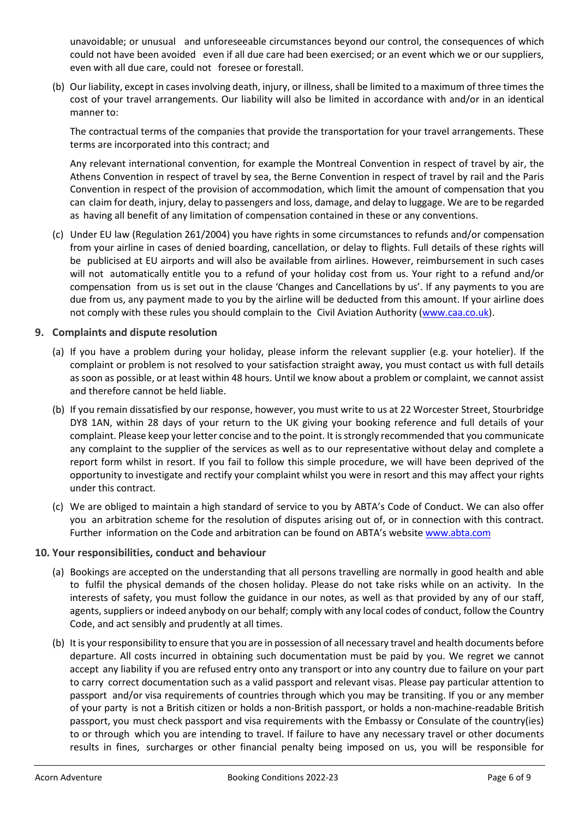unavoidable; or unusual and unforeseeable circumstances beyond our control, the consequences of which could not have been avoided even if all due care had been exercised; or an event which we or our suppliers, even with all due care, could not foresee or forestall.

(b) Our liability, except in cases involving death, injury, or illness, shall be limited to a maximum of three times the cost of your travel arrangements. Our liability will also be limited in accordance with and/or in an identical manner to:

The contractual terms of the companies that provide the transportation for your travel arrangements. These terms are incorporated into this contract; and

Any relevant international convention, for example the Montreal Convention in respect of travel by air, the Athens Convention in respect of travel by sea, the Berne Convention in respect of travel by rail and the Paris Convention in respect of the provision of accommodation, which limit the amount of compensation that you can claim for death, injury, delay to passengers and loss, damage, and delay to luggage. We are to be regarded as having all benefit of any limitation of compensation contained in these or any conventions.

- (c) Under EU law (Regulation 261/2004) you have rights in some circumstances to refunds and/or compensation from your airline in cases of denied boarding, cancellation, or delay to flights. Full details of these rights will be publicised at EU airports and will also be available from airlines. However, reimbursement in such cases will not automatically entitle you to a refund of your holiday cost from us. Your right to a refund and/or compensation from us is set out in the clause 'Changes and Cancellations by us'. If any payments to you are due from us, any payment made to you by the airline will be deducted from this amount. If your airline does not comply with these rules you should complain to the Civil Aviation Authority [\(www.caa.co.uk\)](http://www.caa.co.uk/).
- <span id="page-6-0"></span>**9. Complaints and dispute resolution**
	- (a) If you have a problem during your holiday, please inform the relevant supplier (e.g. your hotelier). If the complaint or problem is not resolved to your satisfaction straight away, you must contact us with full details as soon as possible, or at least within 48 hours. Until we know about a problem or complaint, we cannot assist and therefore cannot be held liable.
	- (b) If you remain dissatisfied by our response, however, you must write to us at 22 Worcester Street, Stourbridge DY8 1AN, within 28 days of your return to the UK giving your booking reference and full details of your complaint. Please keep your letter concise and to the point. It is strongly recommended that you communicate any complaint to the supplier of the services as well as to our representative without delay and complete a report form whilst in resort. If you fail to follow this simple procedure, we will have been deprived of the opportunity to investigate and rectify your complaint whilst you were in resort and this may affect your rights under this contract.
	- (c) We are obliged to maintain a high standard of service to you by ABTA's Code of Conduct. We can also offer you an arbitration scheme for the resolution of disputes arising out of, or in connection with this contract. Further information on the Code and arbitration can be found on ABTA's websit[e www.abta.com](http://www.abta.com/)

### <span id="page-6-1"></span>**10. Your responsibilities, conduct and behaviour**

- (a) Bookings are accepted on the understanding that all persons travelling are normally in good health and able to fulfil the physical demands of the chosen holiday. Please do not take risks while on an activity. In the interests of safety, you must follow the guidance in our notes, as well as that provided by any of our staff, agents, suppliers or indeed anybody on our behalf; comply with any local codes of conduct, follow the Country Code, and act sensibly and prudently at all times.
- (b) It is your responsibility to ensure that you are in possession of all necessary travel and health documents before departure. All costs incurred in obtaining such documentation must be paid by you. We regret we cannot accept any liability if you are refused entry onto any transport or into any country due to failure on your part to carry correct documentation such as a valid passport and relevant visas. Please pay particular attention to passport and/or visa requirements of countries through which you may be transiting. If you or any member of your party is not a British citizen or holds a non-British passport, or holds a non-machine-readable British passport, you must check passport and visa requirements with the Embassy or Consulate of the country(ies) to or through which you are intending to travel. If failure to have any necessary travel or other documents results in fines, surcharges or other financial penalty being imposed on us, you will be responsible for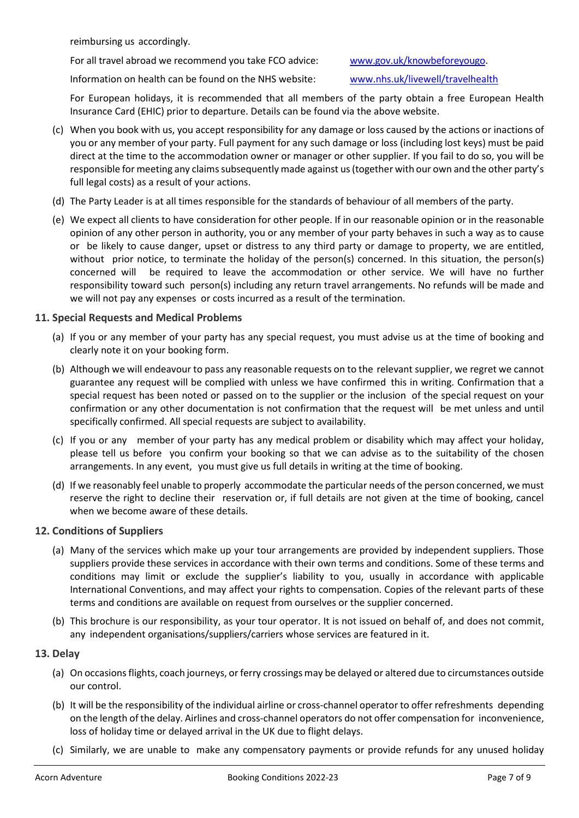reimbursing us accordingly.

For all travel abroad we recommend you take FCO advice: [www.gov.uk/knowbeforeyougo.](https://www.gov.uk/knowbeforeyougo)

Information on health can be found on the NHS website: [www.nhs.uk/livewell/travelhealth](http://www.nhs.uk/livewell/travelhealth)

For European holidays, it is recommended that all members of the party obtain a free European Health Insurance Card (EHIC) prior to departure. Details can be found via the above website.

- (c) When you book with us, you accept responsibility for any damage or loss caused by the actions or inactions of you or any member of your party. Full payment for any such damage or loss (including lost keys) must be paid direct at the time to the accommodation owner or manager or other supplier. If you fail to do so, you will be responsible for meeting any claims subsequently made against us (together with our own and the other party's full legal costs) as a result of your actions.
- (d) The Party Leader is at all times responsible for the standards of behaviour of all members of the party.
- (e) We expect all clients to have consideration for other people. If in our reasonable opinion or in the reasonable opinion of any other person in authority, you or any member of your party behaves in such a way as to cause or be likely to cause danger, upset or distress to any third party or damage to property, we are entitled, without prior notice, to terminate the holiday of the person(s) concerned. In this situation, the person(s) concerned will be required to leave the accommodation or other service. We will have no further responsibility toward such person(s) including any return travel arrangements. No refunds will be made and we will not pay any expenses or costs incurred as a result of the termination.

# <span id="page-7-0"></span>**11. Special Requests and Medical Problems**

- (a) If you or any member of your party has any special request, you must advise us at the time of booking and clearly note it on your booking form.
- (b) Although we will endeavour to pass any reasonable requests on to the relevant supplier, we regret we cannot guarantee any request will be complied with unless we have confirmed this in writing. Confirmation that a special request has been noted or passed on to the supplier or the inclusion of the special request on your confirmation or any other documentation is not confirmation that the request will be met unless and until specifically confirmed. All special requests are subject to availability.
- (c) If you or any member of your party has any medical problem or disability which may affect your holiday, please tell us before you confirm your booking so that we can advise as to the suitability of the chosen arrangements. In any event, you must give us full details in writing at the time of booking.
- (d) If we reasonably feel unable to properly accommodate the particular needs of the person concerned, we must reserve the right to decline their reservation or, if full details are not given at the time of booking, cancel when we become aware of these details.

# <span id="page-7-1"></span>**12. Conditions of Suppliers**

- (a) Many of the services which make up your tour arrangements are provided by independent suppliers. Those suppliers provide these services in accordance with their own terms and conditions. Some of these terms and conditions may limit or exclude the supplier's liability to you, usually in accordance with applicable International Conventions, and may affect your rights to compensation. Copies of the relevant parts of these terms and conditions are available on request from ourselves or the supplier concerned.
- (b) This brochure is our responsibility, as your tour operator. It is not issued on behalf of, and does not commit, any independent organisations/suppliers/carriers whose services are featured in it.

# <span id="page-7-2"></span>**13. Delay**

- (a) On occasionsflights, coach journeys, or ferry crossings may be delayed or altered due to circumstances outside our control.
- (b) It will be the responsibility of the individual airline or cross-channel operator to offer refreshments depending on the length of the delay. Airlines and cross-channel operators do not offer compensation for inconvenience, loss of holiday time or delayed arrival in the UK due to flight delays.
- (c) Similarly, we are unable to make any compensatory payments or provide refunds for any unused holiday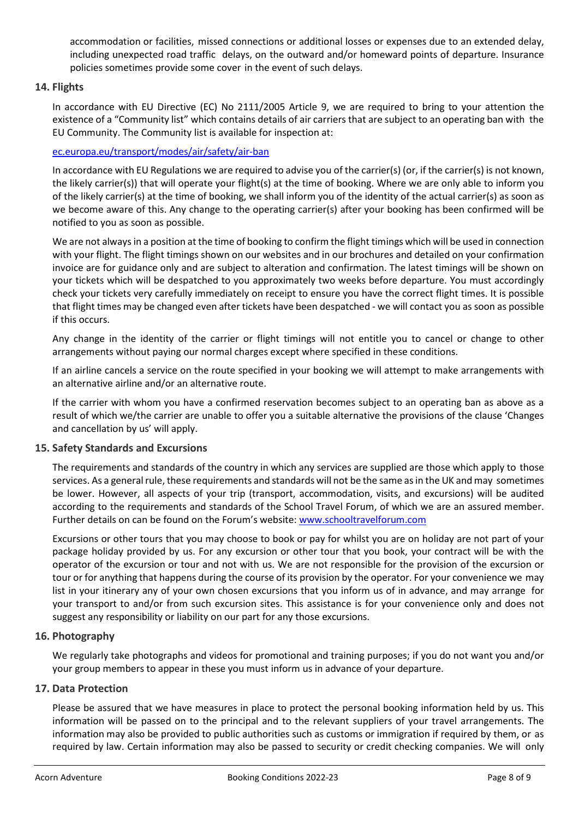accommodation or facilities, missed connections or additional losses or expenses due to an extended delay, including unexpected road traffic delays, on the outward and/or homeward points of departure. Insurance policies sometimes provide some cover in the event of such delays.

# <span id="page-8-0"></span>**14. Flights**

In accordance with EU Directive (EC) No 2111/2005 Article 9, we are required to bring to your attention the existence of a "Community list" which contains details of air carriers that are subject to an operating ban with the EU Community. The Community list is available for inspection at:

### [ec.europa.eu/transport/modes/air/safety/air-ban](http://ec.europa.eu/transport/modes/air/safety/air-ban/index_en.htm)

In accordance with EU Regulations we are required to advise you of the carrier(s) (or, if the carrier(s) is not known, the likely carrier(s)) that will operate your flight(s) at the time of booking. Where we are only able to inform you of the likely carrier(s) at the time of booking, we shall inform you of the identity of the actual carrier(s) as soon as we become aware of this. Any change to the operating carrier(s) after your booking has been confirmed will be notified to you as soon as possible.

We are not always in a position at the time of booking to confirm the flight timings which will be used in connection with your flight. The flight timings shown on our websites and in our brochures and detailed on your confirmation invoice are for guidance only and are subject to alteration and confirmation. The latest timings will be shown on your tickets which will be despatched to you approximately two weeks before departure. You must accordingly check your tickets very carefully immediately on receipt to ensure you have the correct flight times. It is possible that flight times may be changed even after tickets have been despatched - we will contact you as soon as possible if this occurs.

Any change in the identity of the carrier or flight timings will not entitle you to cancel or change to other arrangements without paying our normal charges except where specified in these conditions.

If an airline cancels a service on the route specified in your booking we will attempt to make arrangements with an alternative airline and/or an alternative route.

If the carrier with whom you have a confirmed reservation becomes subject to an operating ban as above as a result of which we/the carrier are unable to offer you a suitable alternative the provisions of the clause 'Changes and cancellation by us' will apply.

### <span id="page-8-1"></span>**15. Safety Standards and Excursions**

The requirements and standards of the country in which any services are supplied are those which apply to those services. As a general rule, these requirements and standards will not be the same as in the UK and may sometimes be lower. However, all aspects of your trip (transport, accommodation, visits, and excursions) will be audited according to the requirements and standards of the School Travel Forum, of which we are an assured member. Further details on can be found on the Forum's website: [www.schooltravelforum.com](http://www.schooltravelforum.com/)

Excursions or other tours that you may choose to book or pay for whilst you are on holiday are not part of your package holiday provided by us. For any excursion or other tour that you book, your contract will be with the operator of the excursion or tour and not with us. We are not responsible for the provision of the excursion or tour or for anything that happens during the course of its provision by the operator. For your convenience we may list in your itinerary any of your own chosen excursions that you inform us of in advance, and may arrange for your transport to and/or from such excursion sites. This assistance is for your convenience only and does not suggest any responsibility or liability on our part for any those excursions.

### <span id="page-8-2"></span>**16. Photography**

We regularly take photographs and videos for promotional and training purposes; if you do not want you and/or your group members to appear in these you must inform us in advance of your departure.

### <span id="page-8-3"></span>**17. Data Protection**

Please be assured that we have measures in place to protect the personal booking information held by us. This information will be passed on to the principal and to the relevant suppliers of your travel arrangements. The information may also be provided to public authorities such as customs or immigration if required by them, or as required by law. Certain information may also be passed to security or credit checking companies. We will only